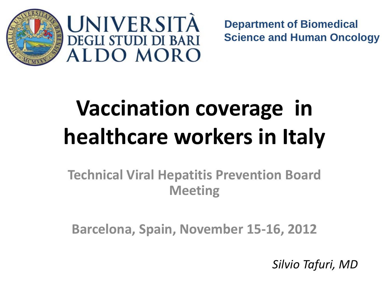



**Department of Biomedical Science and Human Oncology**

# **Vaccination coverage in healthcare workers in Italy**

**Technical Viral Hepatitis Prevention Board Meeting**

**Barcelona, Spain, November 15-16, 2012**

*Silvio Tafuri, MD*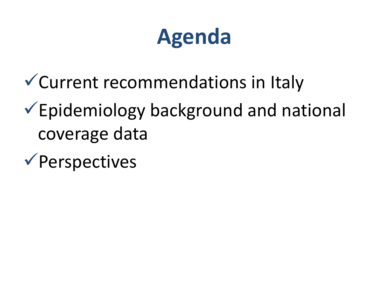### **Agenda**

Current recommendations in Italy

- $\checkmark$  Epidemiology background and national coverage data
- $\checkmark$  Perspectives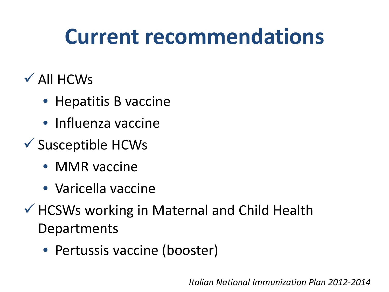### **Current recommendations**

- $\checkmark$  All HCWs
	- Hepatitis B vaccine
	- Influenza vaccine
- $\checkmark$  Susceptible HCWs
	- MMR vaccine
	- Varicella vaccine
- $\checkmark$  HCSWs working in Maternal and Child Health **Departments** 
	- Pertussis vaccine (booster)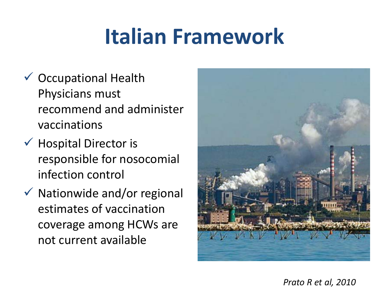### **Italian Framework**

- $\checkmark$  Occupational Health Physicians must recommend and administer vaccinations
- $\checkmark$  Hospital Director is responsible for nosocomial infection control
- $\checkmark$  Nationwide and/or regional estimates of vaccination coverage among HCWs are not current available

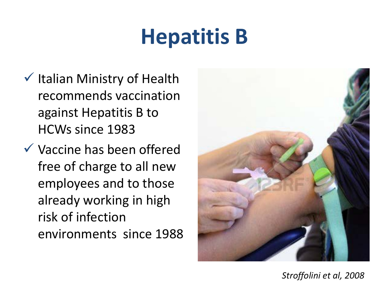## **Hepatitis B**

- $\checkmark$  Italian Ministry of Health recommends vaccination against Hepatitis B to HCWs since 1983
- $\checkmark$  Vaccine has been offered free of charge to all new employees and to those already working in high risk of infection environments since 1988



*Stroffolini et al, 2008*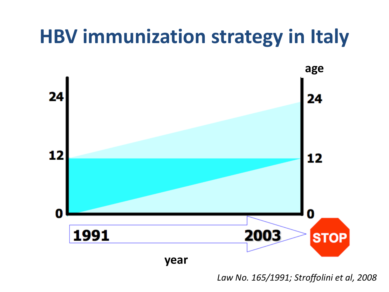### **HBV immunization strategy in Italy**



*Law No. 165/1991; Stroffolini et al, 2008*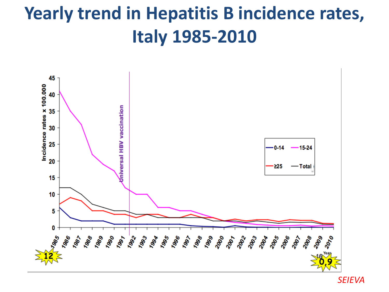### **Yearly trend in Hepatitis B incidence rates, Italy 1985-2010**



*SEIEVA*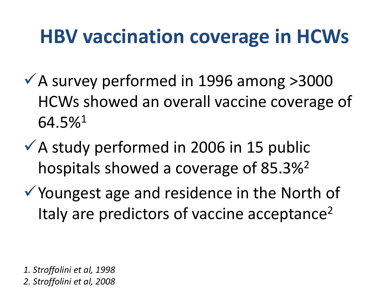### **HBV vaccination coverage in HCWs**

- $\checkmark$  A survey performed in 1996 among >3000 HCWs showed an overall vaccine coverage of 64.5%1
- $\checkmark$  A study performed in 2006 in 15 public hospitals showed a coverage of 85.3%2
- Youngest age and residence in the North of Italy are predictors of vaccine acceptance<sup>2</sup>

*1. Stroffolini et al, 1998 2. Stroffolini et al, 2008*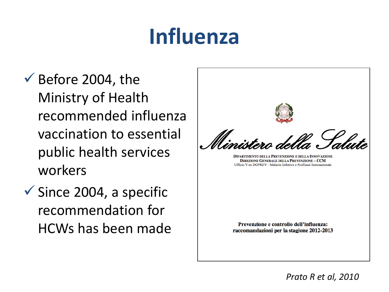### **Influenza**

- $\checkmark$  Before 2004, the Ministry of Health recommended influenza vaccination to essential public health services workers
- $\checkmark$  Since 2004, a specific recommendation for HCWs has been made

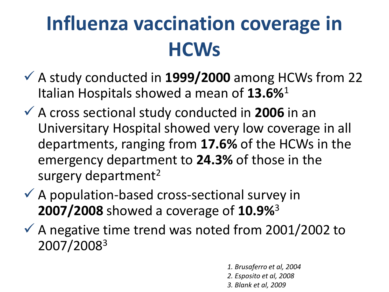### **Influenza vaccination coverage in HCWs**

- A study conducted in **1999/2000** among HCWs from 22 Italian Hospitals showed a mean of **13.6%**<sup>1</sup>
- A cross sectional study conducted in **2006** in an Universitary Hospital showed very low coverage in all departments, ranging from **17.6%** of the HCWs in the emergency department to **24.3%** of those in the surgery department<sup>2</sup>
- $\checkmark$  A population-based cross-sectional survey in **2007/2008** showed a coverage of **10.9%**<sup>3</sup>
- $\checkmark$  A negative time trend was noted from 2001/2002 to 2007/20083
	- *1. Brusaferro et al, 2004*
	- *2. Esposito et al, 2008*
	- *3. Blank et al, 2009*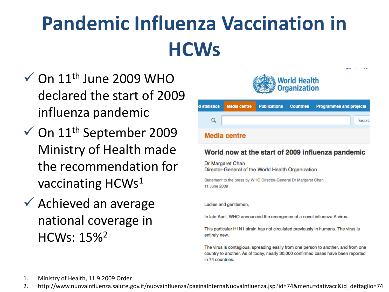### **Pandemic Influenza Vaccination in HCWs**

- $\checkmark$  On  $11^{\text{th}}$  June 2009 WHO declared the start of 2009 influenza pandemic
- $\checkmark$  On 11<sup>th</sup> September 2009 Ministry of Health made the recommendation for vaccinating HCWs1
- $\checkmark$  Achieved an average national coverage in HCWs: 15%2



|                     |  |  |  | d statistics Media centre Publications Countries Programmes and projects |
|---------------------|--|--|--|--------------------------------------------------------------------------|
|                     |  |  |  | Searc                                                                    |
| <b>Media centre</b> |  |  |  |                                                                          |

#### World now at the start of 2009 influenza pandemic

Dr Margaret Chan Director-General of the World Health Organization

Statement to the press by WHO Director-General Dr Margaret Chan 11 June 2009

Ladies and gentlemen,

In late April, WHO announced the emergence of a novel influenza A virus.

This particular H1N1 strain has not circulated previously in humans. The virus is entirely new.

The virus is contagious, spreading easily from one person to another, and from one country to another. As of today, nearly 30,000 confirmed cases have been reported in 74 countries.

1. Ministry of Health, 11.9.2009 Order

2. http://www.nuovainfluenza.salute.gov.it/nuovainfluenza/paginaInternaNuovaInfluenza.jsp?id=74&menu=dativacc&id\_dettaglio=74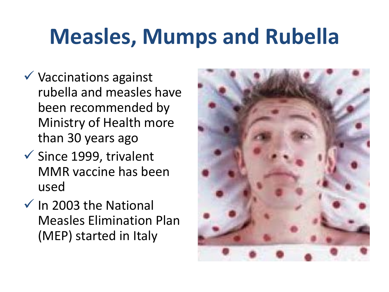### **Measles, Mumps and Rubella**

- $\checkmark$  Vaccinations against rubella and measles have been recommended by Ministry of Health more than 30 years ago
- $\checkmark$  Since 1999, trivalent MMR vaccine has been used
- $\checkmark$  In 2003 the National Measles Elimination Plan (MEP) started in Italy

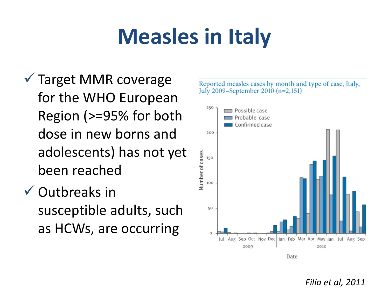## **Measles in Italy**

- Target MMR coverage for the WHO European Region (>=95% for both dose in new borns and adolescents) has not yet been reached
- $\checkmark$  Outbreaks in susceptible adults, such as HCWs, are occurring

Reported measles cases by month and type of case, Italy, July 2009–September 2010 (n=2,151)



*Filia et al, 2011*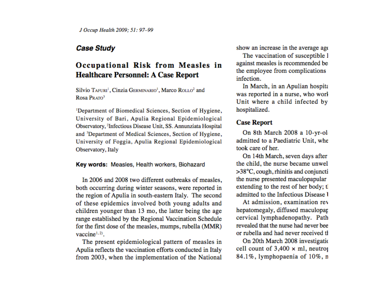#### **Case Study**

#### Occupational Risk from Measles in **Healthcare Personnel: A Case Report**

Silvio TAFURI<sup>1</sup>, Cinzia GERMINARIO<sup>1</sup>, Marco ROLLO<sup>2</sup> and Rosa PRATO3

<sup>1</sup>Department of Biomedical Sciences, Section of Hygiene, University of Bari, Apulia Regional Epidemiological Observatory, <sup>2</sup>Infectious Disease Unit, SS. Annunziata Hospital and <sup>3</sup>Department of Medical Sciences, Section of Hygiene, University of Foggia, Apulia Regional Epidemiological Observatory, Italy

#### Key words: Measles, Health workers, Biohazard

In 2006 and 2008 two different outbreaks of measles. both occurring during winter seasons, were reported in the region of Apulia in south-eastern Italy. The second of these epidemics involved both young adults and children younger than 13 mo, the latter being the age range established by the Regional Vaccination Schedule for the first dose of the measles, mumps, rubella (MMR) vaccine<sup> $1,2$ </sup>.

The present epidemiological pattern of measles in Apulia reflects the vaccination efforts conducted in Italy from 2003, when the implementation of the National show an increase in the average age

The vaccination of susceptible l against measles is recommended be the employee from complications infection.

In March, in an Apulian hospita was reported in a nurse, who worl Unit where a child infected by hospitalized.

#### **Case Report**

On 8th March 2008 a 10-yr-oladmitted to a Paediatric Unit, whe took care of her.

On 14th March, seven days after the child, the nurse became unwel >38°C, cough, rhinitis and conjunctithe nurse presented maculopapular extending to the rest of her body; t admitted to the Infectious Disease 1

At admission, examination rev hepatomegaly, diffused maculopar cervical lymphadenopathy. Path revealed that the nurse had never bee or rubella and had never received the

On 20th March 2008 investigation cell count of  $3,400 \times$  ml, neutron 84.1%, lymphopaenia of 10%, n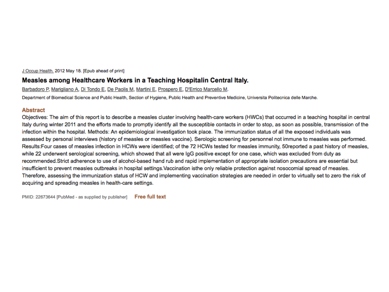J Occup Health. 2012 May 18. [Epub ahead of print]

#### Measles among Healthcare Workers in a Teaching Hospitalin Central Italy.

Barbadoro P. Marigliano A. Di Tondo E. De Paolis M. Martini E. Prospero E. D'Errico Marcello M.

Department of Biomedical Science and Public Health, Section of Hygiene, Public Health and Preventive Medicine, Universita Politecnica delle Marche.

#### **Abstract**

Objectives: The aim of this report is to describe a measles cluster involving health-care workers (HWCs) that occurred in a teaching hospital in central Italy during winter 2011 and the efforts made to promptly identify all the susceptible contacts in order to stop, as soon as possible, transmission of the infection within the hospital. Methods: An epidemiological investigation took place. The immunization status of all the exposed individuals was assessed by personal interviews (history of measles or measles vaccine). Serologic screening for personnel not immune to measles was performed. Results: Four cases of measles infection in HCWs were identified; of the 72 HCWs tested for measles immunity, 50reported a past history of measles, while 22 underwent serological screening, which showed that all were IgG positive except for one case, which was excluded from duty as recommended.Strict adherence to use of alcohol-based hand rub and rapid implementation of appropriate isolation precautions are essential but insufficient to prevent measles outbreaks in hospital settings. Vaccination isthe only reliable protection against nosocomial spread of measles. Therefore, assessing the immunization status of HCW and implementing vaccination strategies are needed in order to virtually set to zero the risk of acquiring and spreading measles in health-care settings.

PMID: 22673644 [PubMed - as supplied by publisher] Free full text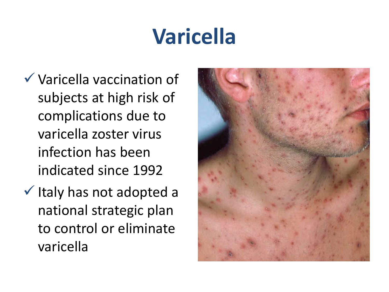## **Varicella**

- Varicella vaccination of subjects at high risk of complications due to varicella zoster virus infection has been indicated since 1992
- $\checkmark$  Italy has not adopted a national strategic plan to control or eliminate varicella

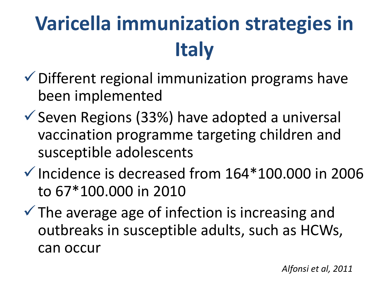## **Varicella immunization strategies in Italy**

- $\checkmark$  Different regional immunization programs have been implemented
- $\checkmark$  Seven Regions (33%) have adopted a universal vaccination programme targeting children and susceptible adolescents
- $\checkmark$  Incidence is decreased from 164\*100.000 in 2006 to 67\*100.000 in 2010
- $\checkmark$  The average age of infection is increasing and outbreaks in susceptible adults, such as HCWs, can occur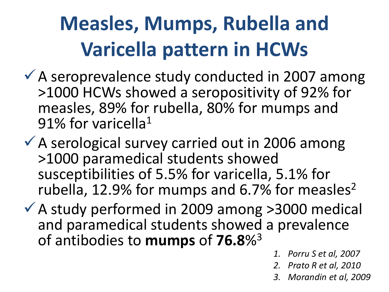### **Measles, Mumps, Rubella and Varicella pattern in HCWs**

- $\checkmark$  A seroprevalence study conducted in 2007 among >1000 HCWs showed a seropositivity of 92% for measles, 89% for rubella, 80% for mumps and 91% for varicella<sup>1</sup>
- $\checkmark$  A serological survey carried out in 2006 among >1000 paramedical students showed susceptibilities of 5.5% for varicella, 5.1% for rubella, 12.9% for mumps and 6.7% for measles<sup>2</sup>
- $\checkmark$  A study performed in 2009 among >3000 medical and paramedical students showed a prevalence of antibodies to **mumps** of **76.8**%3
	- *1. Porru S et al, 2007*
	- *2. Prato R et al, 2010*
	- *3. Morandin et al, 2009*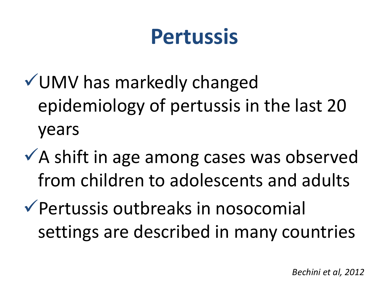### **Pertussis**

- UMV has markedly changed epidemiology of pertussis in the last 20 years
- $\sqrt{ }$  A shift in age among cases was observed from children to adolescents and adults
- Pertussis outbreaks in nosocomial settings are described in many countries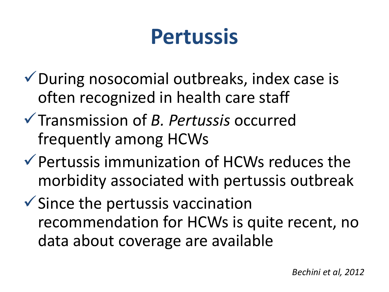### **Pertussis**

- During nosocomial outbreaks, index case is often recognized in health care staff
- Transmission of *B. Pertussis* occurred frequently among HCWs
- $\checkmark$  Pertussis immunization of HCWs reduces the morbidity associated with pertussis outbreak
- $\checkmark$  Since the pertussis vaccination recommendation for HCWs is quite recent, no data about coverage are available